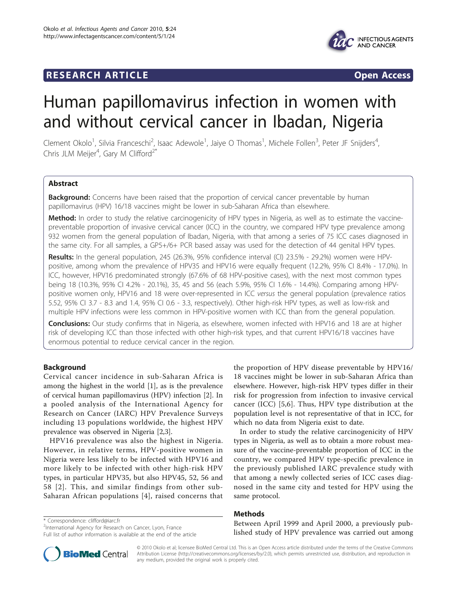# **RESEARCH ARTICLE Example 2018 CONSIDERING ACCESS**



# Human papillomavirus infection in women with and without cervical cancer in Ibadan, Nigeria

Clement Okolo<sup>1</sup>, Silvia Franceschi<sup>2</sup>, Isaac Adewole<sup>1</sup>, Jaiye O Thomas<sup>1</sup>, Michele Follen<sup>3</sup>, Peter JF Snijders<sup>4</sup> , Chris JLM Meijer<sup>4</sup>, Gary M Clifford<sup>2\*</sup>

# Abstract

**Background:** Concerns have been raised that the proportion of cervical cancer preventable by human papillomavirus (HPV) 16/18 vaccines might be lower in sub-Saharan Africa than elsewhere.

Method: In order to study the relative carcinogenicity of HPV types in Nigeria, as well as to estimate the vaccinepreventable proportion of invasive cervical cancer (ICC) in the country, we compared HPV type prevalence among 932 women from the general population of Ibadan, Nigeria, with that among a series of 75 ICC cases diagnosed in the same city. For all samples, a GP5+/6+ PCR based assay was used for the detection of 44 genital HPV types.

Results: In the general population, 245 (26.3%, 95% confidence interval (CI) 23.5% - 29.2%) women were HPVpositive, among whom the prevalence of HPV35 and HPV16 were equally frequent (12.2%, 95% CI 8.4% - 17.0%). In ICC, however, HPV16 predominated strongly (67.6% of 68 HPV-positive cases), with the next most common types being 18 (10.3%, 95% CI 4.2% - 20.1%), 35, 45 and 56 (each 5.9%, 95% CI 1.6% - 14.4%). Comparing among HPVpositive women only, HPV16 and 18 were over-represented in ICC versus the general population (prevalence ratios 5.52, 95% CI 3.7 - 8.3 and 1.4, 95% CI 0.6 - 3.3, respectively). Other high-risk HPV types, as well as low-risk and multiple HPV infections were less common in HPV-positive women with ICC than from the general population.

**Conclusions:** Our study confirms that in Nigeria, as elsewhere, women infected with HPV16 and 18 are at higher risk of developing ICC than those infected with other high-risk types, and that current HPV16/18 vaccines have enormous potential to reduce cervical cancer in the region.

# Background

Cervical cancer incidence in sub-Saharan Africa is among the highest in the world [\[1](#page-3-0)], as is the prevalence of cervical human papillomavirus (HPV) infection [\[2](#page-3-0)]. In a pooled analysis of the International Agency for Research on Cancer (IARC) HPV Prevalence Surveys including 13 populations worldwide, the highest HPV prevalence was observed in Nigeria [[2,3\]](#page-3-0).

HPV16 prevalence was also the highest in Nigeria. However, in relative terms, HPV-positive women in Nigeria were less likely to be infected with HPV16 and more likely to be infected with other high-risk HPV types, in particular HPV35, but also HPV45, 52, 56 and 58 [[2\]](#page-3-0). This, and similar findings from other sub-Saharan African populations [[4\]](#page-3-0), raised concerns that

the proportion of HPV disease preventable by HPV16/ 18 vaccines might be lower in sub-Saharan Africa than elsewhere. However, high-risk HPV types differ in their risk for progression from infection to invasive cervical cancer (ICC) [[5,6\]](#page-3-0). Thus, HPV type distribution at the population level is not representative of that in ICC, for which no data from Nigeria exist to date.

In order to study the relative carcinogenicity of HPV types in Nigeria, as well as to obtain a more robust measure of the vaccine-preventable proportion of ICC in the country, we compared HPV type-specific prevalence in the previously published IARC prevalence study with that among a newly collected series of ICC cases diagnosed in the same city and tested for HPV using the same protocol.

# Methods

\* Correspondence: [clifford@iarc.fr](mailto:clifford@iarc.fr) <sup>2</sup>International Agency for Research on Cancer, Lyon, France

Full list of author information is available at the end of the article

Between April 1999 and April 2000, a previously published study of HPV prevalence was carried out among



© 2010 Okolo et al; licensee BioMed Central Ltd. This is an Open Access article distributed under the terms of the Creative Commons Attribution License [\(http://creativecommons.org/licenses/by/2.0](http://creativecommons.org/licenses/by/2.0)), which permits unrestricted use, distribution, and reproduction in any medium, provided the original work is properly cited.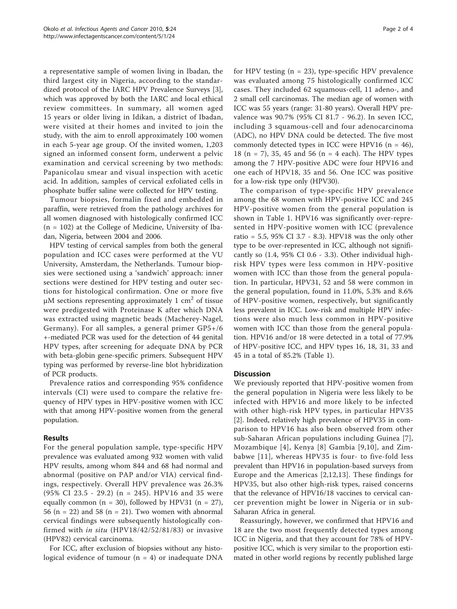a representative sample of women living in Ibadan, the third largest city in Nigeria, according to the standardized protocol of the IARC HPV Prevalence Surveys [\[3](#page-3-0)], which was approved by both the IARC and local ethical review committees. In summary, all women aged 15 years or older living in Idikan, a district of Ibadan, were visited at their homes and invited to join the study, with the aim to enroll approximately 100 women in each 5-year age group. Of the invited women, 1,203 signed an informed consent form, underwent a pelvic examination and cervical screening by two methods: Papanicolau smear and visual inspection with acetic acid. In addition, samples of cervical exfoliated cells in phosphate buffer saline were collected for HPV testing.

Tumour biopsies, formalin fixed and embedded in paraffin, were retrieved from the pathology archives for all women diagnosed with histologically confirmed ICC  $(n = 102)$  at the College of Medicine, University of Ibadan, Nigeria, between 2004 and 2006.

HPV testing of cervical samples from both the general population and ICC cases were performed at the VU University, Amsterdam, the Netherlands. Tumour biopsies were sectioned using a 'sandwich' approach: inner sections were destined for HPV testing and outer sections for histological confirmation. One or more five μM sections representing approximately 1  $\text{cm}^2$  of tissue were predigested with Proteinase K after which DNA was extracted using magnetic beads (Macherey-Nagel, Germany). For all samples, a general primer GP5+/6 +-mediated PCR was used for the detection of 44 genital HPV types, after screening for adequate DNA by PCR with beta-globin gene-specific primers. Subsequent HPV typing was performed by reverse-line blot hybridization of PCR products.

Prevalence ratios and corresponding 95% confidence intervals (CI) were used to compare the relative frequency of HPV types in HPV-positive women with ICC with that among HPV-positive women from the general population.

# Results

For the general population sample, type-specific HPV prevalence was evaluated among 932 women with valid HPV results, among whom 844 and 68 had normal and abnormal (positive on PAP and/or VIA) cervical findings, respectively. Overall HPV prevalence was 26.3% (95% CI 23.5 - 29.2) (n = 245). HPV16 and 35 were equally common (n = 30), followed by HPV31 (n = 27), 56 (n = 22) and 58 (n = 21). Two women with abnormal cervical findings were subsequently histologically confirmed with in situ (HPV18/42/52/81/83) or invasive (HPV82) cervical carcinoma.

For ICC, after exclusion of biopsies without any histological evidence of tumour  $(n = 4)$  or inadequate DNA Page 2 of 4

for HPV testing  $(n = 23)$ , type-specific HPV prevalence was evaluated among 75 histologically confirmed ICC cases. They included 62 squamous-cell, 11 adeno-, and 2 small cell carcinomas. The median age of women with ICC was 55 years (range: 31-80 years). Overall HPV prevalence was 90.7% (95% CI 81.7 - 96.2). In seven ICC, including 3 squamous-cell and four adenocarcinoma (ADC), no HPV DNA could be detected. The five most commonly detected types in ICC were HPV16 ( $n = 46$ ), 18 (n = 7), 35, 45 and 56 (n = 4 each). The HPV types among the 7 HPV-positive ADC were four HPV16 and one each of HPV18, 35 and 56. One ICC was positive for a low-risk type only (HPV30).

The comparison of type-specific HPV prevalence among the 68 women with HPV-positive ICC and 245 HPV-positive women from the general population is shown in Table [1](#page-2-0). HPV16 was significantly over-represented in HPV-positive women with ICC (prevalence ratio = 5.5, 95% CI 3.7 - 8.3). HPV18 was the only other type to be over-represented in ICC, although not significantly so (1.4, 95% CI 0.6 - 3.3). Other individual highrisk HPV types were less common in HPV-positive women with ICC than those from the general population. In particular, HPV31, 52 and 58 were common in the general population, found in 11.0%, 5.3% and 8.6% of HPV-positive women, respectively, but significantly less prevalent in ICC. Low-risk and multiple HPV infections were also much less common in HPV-positive women with ICC than those from the general population. HPV16 and/or 18 were detected in a total of 77.9% of HPV-positive ICC, and HPV types 16, 18, 31, 33 and 45 in a total of 85.2% (Table [1](#page-2-0)).

# **Discussion**

We previously reported that HPV-positive women from the general population in Nigeria were less likely to be infected with HPV16 and more likely to be infected with other high-risk HPV types, in particular HPV35 [[2\]](#page-3-0). Indeed, relatively high prevalence of HPV35 in comparison to HPV16 has also been observed from other sub-Saharan African populations including Guinea [[7](#page-3-0)], Mozambique [[4\]](#page-3-0), Kenya [[8](#page-3-0)] Gambia [[9](#page-3-0),[10](#page-3-0)], and Zimbabwe [\[11\]](#page-3-0), whereas HPV35 is four- to five-fold less prevalent than HPV16 in population-based surveys from Europe and the Americas [[2,12,13](#page-3-0)]. These findings for HPV35, but also other high-risk types, raised concerns that the relevance of HPV16/18 vaccines to cervical cancer prevention might be lower in Nigeria or in sub-Saharan Africa in general.

Reassuringly, however, we confirmed that HPV16 and 18 are the two most frequently detected types among ICC in Nigeria, and that they account for 78% of HPVpositive ICC, which is very similar to the proportion estimated in other world regions by recently published large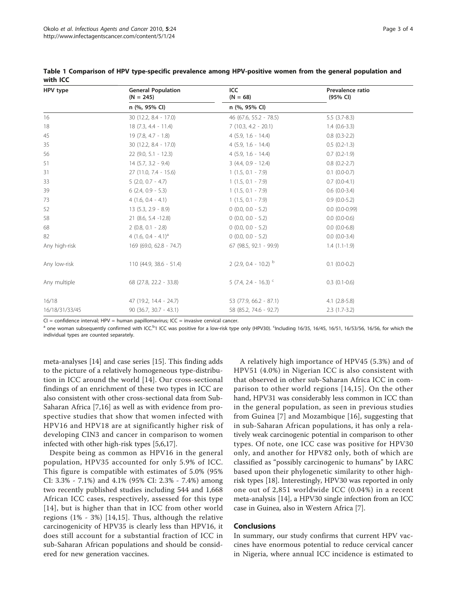| HPV type       | <b>General Population</b><br>$(N = 245)$<br>n (%, 95% CI) | ICC<br>$(N = 68)$                  | Prevalence ratio<br>(95% CI) |
|----------------|-----------------------------------------------------------|------------------------------------|------------------------------|
|                |                                                           | n (%, 95% CI)                      |                              |
| 16             | 30 (12.2, 8.4 - 17.0)                                     | 46 (67.6, 55.2 - 78.5)             | $5.5(3.7-8.3)$               |
| 18             | $18(7.3, 4.4 - 11.4)$                                     | $7(10.3, 4.2 - 20.1)$              | $1.4(0.6-3.3)$               |
| 45             | $19(7.8, 4.7 - 1.8)$                                      | $4(5.9, 1.6 - 14.4)$               | $0.8$ $(0.3-2.2)$            |
| 35             | 30 (12.2, 8.4 - 17.0)                                     | $4(5.9, 1.6 - 14.4)$               | $0.5(0.2-1.3)$               |
| 56             | $22(9.0, 5.1 - 12.3)$                                     | $4(5.9, 1.6 - 14.4)$               | $0.7$ $(0.2-1.9)$            |
| 51             | $14(5.7, 3.2 - 9.4)$                                      | $3(4.4, 0.9 - 12.4)$               | $0.8$ $(0.2 - 2.7)$          |
| 31             | 27 (11.0, 7.4 - 15.6)                                     | $1(1.5, 0.1 - 7.9)$                | $0.1$ $(0.0-0.7)$            |
| 33             | $5(2.0, 0.7 - 4.7)$                                       | $1(1.5, 0.1 - 7.9)$                | $0.7(0.0-4.1)$               |
| 39             | $6(2.4, 0.9 - 5.3)$                                       | $1(1.5, 0.1 - 7.9)$                | $0.6$ $(0.0-3.4)$            |
| 73             | $4(1.6, 0.4 - 4.1)$                                       | $1(1.5, 0.1 - 7.9)$                | $0.9(0.0-5.2)$               |
| 52             | $13(5.3, 2.9 - 8.9)$                                      | $0(0.0, 0.0 - 5.2)$                | $0.0(0.0-0.99)$              |
| 58             | 21 (8.6, 5.4 -12.8)                                       | $0(0.0, 0.0 - 5.2)$                | $0.0 (0.0 - 0.6)$            |
| 68             | $2(0.8, 0.1 - 2.8)$                                       | $0$ (0.0, 0.0 - 5.2)               | $0.0$ $(0.0-6.8)$            |
| 82             | 4 $(1.6, 0.4 - 4.1)^{a}$                                  | $0(0.0, 0.0 - 5.2)$                | $0.0$ $(0.0-3.4)$            |
| Any high-risk  | 169 (69.0, 62.8 - 74.7)                                   | 67 (98.5, 92.1 - 99.9)             | $1.4(1.1-1.9)$               |
| Any low-risk   | $110(44.9, 38.6 - 51.4)$                                  | 2 (2.9, 0.4 - 10.2) $^{\rm b}$     | $0.1$ (0.0-0.2)              |
| Any multiple   | 68 (27.8, 22.2 - 33.8)                                    | $5$ (7.4, 2.4 - 16.3) <sup>c</sup> | $0.3$ $(0.1-0.6)$            |
| 16/18          | 47 (19.2, 14.4 - 24.7)                                    | 53 (77.9, 66.2 - 87.1)             | $4.1(2.8-5.8)$               |
| 16/18/31/33/45 | 90 (36.7, 30.7 - 43.1)                                    | 58 (85.2, 74.6 - 92.7)             | $2.3(1.7-3.2)$               |

<span id="page-2-0"></span>Table 1 Comparison of HPV type-specific prevalence among HPV-positive women from the general population and with ICC

 $CI =$  confidence interval;  $HPV =$  human papillomavirus;  $ICC =$  invasive cervical cancer.

a one woman subsequently confirmed with ICC.<sup>b</sup>1 ICC was positive for a low-risk type only (HPV30). <sup>c</sup>Including 16/35, 16/45, 16/51, 16/53/56, 16/56, for which the individual types are counted separately.

meta-analyses [[14](#page-3-0)] and case series [\[15](#page-3-0)]. This finding adds to the picture of a relatively homogeneous type-distribution in ICC around the world [[14\]](#page-3-0). Our cross-sectional findings of an enrichment of these two types in ICC are also consistent with other cross-sectional data from Sub-Saharan Africa [\[7](#page-3-0),[16\]](#page-3-0) as well as with evidence from prospective studies that show that women infected with HPV16 and HPV18 are at significantly higher risk of developing CIN3 and cancer in comparison to women infected with other high-risk types [\[5,6,17\]](#page-3-0).

Despite being as common as HPV16 in the general population, HPV35 accounted for only 5.9% of ICC. This figure is compatible with estimates of 5.0% (95% CI: 3.3% - 7.1%) and 4.1% (95% CI: 2.3% - 7.4%) among two recently published studies including 544 and 1,668 African ICC cases, respectively, assessed for this type [[14](#page-3-0)], but is higher than that in ICC from other world regions (1% - 3%) [[14,15\]](#page-3-0). Thus, although the relative carcinogenicity of HPV35 is clearly less than HPV16, it does still account for a substantial fraction of ICC in sub-Saharan African populations and should be considered for new generation vaccines.

A relatively high importance of HPV45 (5.3%) and of HPV51 (4.0%) in Nigerian ICC is also consistent with that observed in other sub-Saharan Africa ICC in comparison to other world regions [[14](#page-3-0),[15\]](#page-3-0). On the other hand, HPV31 was considerably less common in ICC than in the general population, as seen in previous studies from Guinea [[7\]](#page-3-0) and Mozambique [[16](#page-3-0)], suggesting that in sub-Saharan African populations, it has only a relatively weak carcinogenic potential in comparison to other types. Of note, one ICC case was positive for HPV30 only, and another for HPV82 only, both of which are classified as "possibly carcinogenic to humans" by IARC based upon their phylogenetic similarity to other highrisk types [\[18\]](#page-3-0). Interestingly, HPV30 was reported in only one out of 2,851 worldwide ICC (0.04%) in a recent meta-analysis [\[14](#page-3-0)], a HPV30 single infection from an ICC case in Guinea, also in Western Africa [\[7](#page-3-0)].

### Conclusions

In summary, our study confirms that current HPV vaccines have enormous potential to reduce cervical cancer in Nigeria, where annual ICC incidence is estimated to